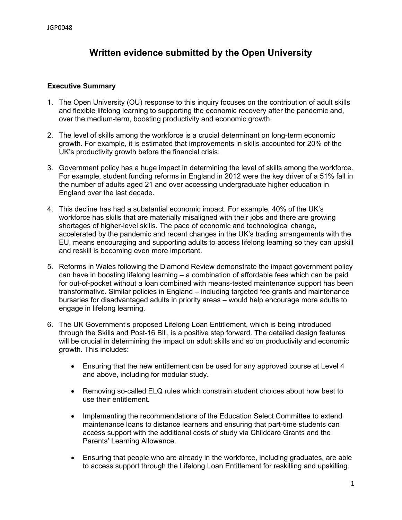# **Written evidence submitted by the Open University**

#### **Executive Summary**

- 1. The Open University (OU) response to this inquiry focuses on the contribution of adult skills and flexible lifelong learning to supporting the economic recovery after the pandemic and, over the medium-term, boosting productivity and economic growth.
- 2. The level of skills among the workforce is a crucial determinant on long-term economic growth. For example, it is estimated that improvements in skills accounted for 20% of the UK's productivity growth before the financial crisis.
- 3. Government policy has a huge impact in determining the level of skills among the workforce. For example, student funding reforms in England in 2012 were the key driver of a 51% fall in the number of adults aged 21 and over accessing undergraduate higher education in England over the last decade.
- 4. This decline has had a substantial economic impact. For example, 40% of the UK's workforce has skills that are materially misaligned with their jobs and there are growing shortages of higher-level skills. The pace of economic and technological change, accelerated by the pandemic and recent changes in the UK's trading arrangements with the EU, means encouraging and supporting adults to access lifelong learning so they can upskill and reskill is becoming even more important.
- 5. Reforms in Wales following the Diamond Review demonstrate the impact government policy can have in boosting lifelong learning – a combination of affordable fees which can be paid for out-of-pocket without a loan combined with means-tested maintenance support has been transformative. Similar policies in England – including targeted fee grants and maintenance bursaries for disadvantaged adults in priority areas – would help encourage more adults to engage in lifelong learning.
- 6. The UK Government's proposed Lifelong Loan Entitlement, which is being introduced through the Skills and Post-16 Bill, is a positive step forward. The detailed design features will be crucial in determining the impact on adult skills and so on productivity and economic growth. This includes:
	- Ensuring that the new entitlement can be used for any approved course at Level 4 and above, including for modular study.
	- Removing so-called ELQ rules which constrain student choices about how best to use their entitlement.
	- Implementing the recommendations of the Education Select Committee to extend maintenance loans to distance learners and ensuring that part-time students can access support with the additional costs of study via Childcare Grants and the Parents' Learning Allowance.
	- Ensuring that people who are already in the workforce, including graduates, are able to access support through the Lifelong Loan Entitlement for reskilling and upskilling.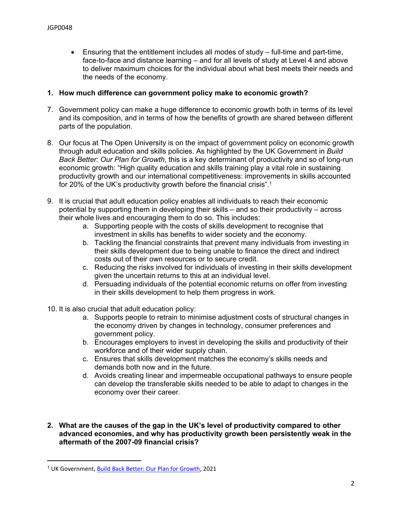Ensuring that the entitlement includes all modes of study – full-time and part-time, face-to-face and distance learning – and for all levels of study at Level 4 and above to deliver maximum choices for the individual about what best meets their needs and the needs of the economy.

### **1. How much difference can government policy make to economic growth?**

- 7. Government policy can make a huge difference to economic growth both in terms of its level and its composition, and in terms of how the benefits of growth are shared between different parts of the population.
- 8. Our focus at The Open University is on the impact of government policy on economic growth through adult education and skills policies. As highlighted by the UK Government in *Build Back Better: Our Plan for Growth*, this is a key determinant of productivity and so of long-run economic growth: "High quality education and skills training play a vital role in sustaining productivity growth and our international competitiveness: improvements in skills accounted for 20% of the UK's productivity growth before the financial crisis".<sup>1</sup>
- 9. It is crucial that adult education policy enables all individuals to reach their economic potential by supporting them in developing their skills – and so their productivity – across their whole lives and encouraging them to do so. This includes:
	- a. Supporting people with the costs of skills development to recognise that investment in skills has benefits to wider society and the economy.
	- b. Tackling the financial constraints that prevent many individuals from investing in their skills development due to being unable to finance the direct and indirect costs out of their own resources or to secure credit.
	- c. Reducing the risks involved for individuals of investing in their skills development given the uncertain returns to this at an individual level.
	- d. Persuading individuals of the potential economic returns on offer from investing in their skills development to help them progress in work.
- 10. It is also crucial that adult education policy:
	- a. Supports people to retrain to minimise adjustment costs of structural changes in the economy driven by changes in technology, consumer preferences and government policy.
	- b. Encourages employers to invest in developing the skills and productivity of their workforce and of their wider supply chain.
	- c. Ensures that skills development matches the economy's skills needs and demands both now and in the future.
	- d. Avoids creating linear and impermeable occupational pathways to ensure people can develop the transferable skills needed to be able to adapt to changes in the economy over their career.
- **2. What are the causes of the gap in the UK's level of productivity compared to other advanced economies, and why has productivity growth been persistently weak in the aftermath of the 2007-09 financial crisis?**

<sup>1</sup> UK Government, [Build](https://assets.publishing.service.gov.uk/government/uploads/system/uploads/attachment_data/file/968403/PfG_Final_Web_Accessible_Version.pdf) [Back](https://assets.publishing.service.gov.uk/government/uploads/system/uploads/attachment_data/file/968403/PfG_Final_Web_Accessible_Version.pdf) [Better:](https://assets.publishing.service.gov.uk/government/uploads/system/uploads/attachment_data/file/968403/PfG_Final_Web_Accessible_Version.pdf) [Our](https://assets.publishing.service.gov.uk/government/uploads/system/uploads/attachment_data/file/968403/PfG_Final_Web_Accessible_Version.pdf) [Plan](https://assets.publishing.service.gov.uk/government/uploads/system/uploads/attachment_data/file/968403/PfG_Final_Web_Accessible_Version.pdf) [for](https://assets.publishing.service.gov.uk/government/uploads/system/uploads/attachment_data/file/968403/PfG_Final_Web_Accessible_Version.pdf) [Growth,](https://assets.publishing.service.gov.uk/government/uploads/system/uploads/attachment_data/file/968403/PfG_Final_Web_Accessible_Version.pdf) 2021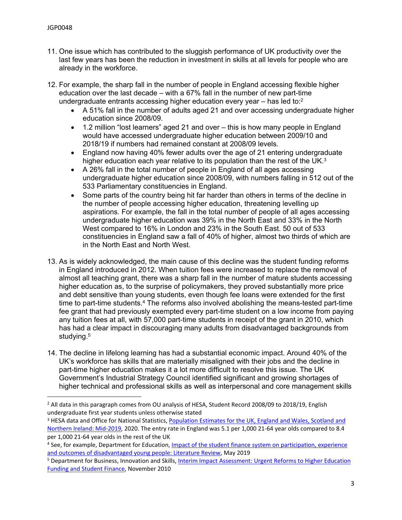- 11. One issue which has contributed to the sluggish performance of UK productivity over the last few years has been the reduction in investment in skills at all levels for people who are already in the workforce.
- 12. For example, the sharp fall in the number of people in England accessing flexible higher education over the last decade – with a 67% fall in the number of new part-time undergraduate entrants accessing higher education every year  $-$  has led to: $2$ 
	- A 51% fall in the number of adults aged 21 and over accessing undergraduate higher education since 2008/09.
	- 1.2 million "lost learners" aged 21 and over this is how many people in England would have accessed undergraduate higher education between 2009/10 and 2018/19 if numbers had remained constant at 2008/09 levels.
	- England now having 40% fewer adults over the age of 21 entering undergraduate higher education each year relative to its population than the rest of the UK.<sup>3</sup>
	- A 26% fall in the total number of people in England of all ages accessing undergraduate higher education since 2008/09, with numbers falling in 512 out of the 533 Parliamentary constituencies in England.
	- Some parts of the country being hit far harder than others in terms of the decline in the number of people accessing higher education, threatening levelling up aspirations. For example, the fall in the total number of people of all ages accessing undergraduate higher education was 39% in the North East and 33% in the North West compared to 16% in London and 23% in the South East. 50 out of 533 constituencies in England saw a fall of 40% of higher, almost two thirds of which are in the North East and North West.
- 13. As is widely acknowledged, the main cause of this decline was the student funding reforms in England introduced in 2012. When tuition fees were increased to replace the removal of almost all teaching grant, there was a sharp fall in the number of mature students accessing higher education as, to the surprise of policymakers, they proved substantially more price and debt sensitive than young students, even though fee loans were extended for the first time to part-time students.<sup>4</sup> The reforms also involved abolishing the means-tested part-time fee grant that had previously exempted every part-time student on a low income from paying any tuition fees at all, with 57,000 part-time students in receipt of the grant in 2010, which has had a clear impact in discouraging many adults from disadvantaged backgrounds from studying.<sup>5</sup>
- 14. The decline in lifelong learning has had a substantial economic impact. Around 40% of the UK's workforce has skills that are materially misaligned with their jobs and the decline in part-time higher education makes it a lot more difficult to resolve this issue. The UK Government's Industrial Strategy Council identified significant and growing shortages of higher technical and professional skills as well as interpersonal and core management skills

<sup>&</sup>lt;sup>2</sup> All data in this paragraph comes from OU analysis of HESA, Student Record 2008/09 to 2018/19, English undergraduate first year students unless otherwise stated

<sup>&</sup>lt;sup>3</sup> HESA data and Office for National Statistics, [Population](https://www.ons.gov.uk/peoplepopulationandcommunity/populationandmigration/populationestimates/bulletins/annualmidyearpopulationestimates/mid2019estimates) [Estimates](https://www.ons.gov.uk/peoplepopulationandcommunity/populationandmigration/populationestimates/bulletins/annualmidyearpopulationestimates/mid2019estimates) [for](https://www.ons.gov.uk/peoplepopulationandcommunity/populationandmigration/populationestimates/bulletins/annualmidyearpopulationestimates/mid2019estimates) [the](https://www.ons.gov.uk/peoplepopulationandcommunity/populationandmigration/populationestimates/bulletins/annualmidyearpopulationestimates/mid2019estimates) [UK,](https://www.ons.gov.uk/peoplepopulationandcommunity/populationandmigration/populationestimates/bulletins/annualmidyearpopulationestimates/mid2019estimates) [England](https://www.ons.gov.uk/peoplepopulationandcommunity/populationandmigration/populationestimates/bulletins/annualmidyearpopulationestimates/mid2019estimates) [and](https://www.ons.gov.uk/peoplepopulationandcommunity/populationandmigration/populationestimates/bulletins/annualmidyearpopulationestimates/mid2019estimates) [Wales,](https://www.ons.gov.uk/peoplepopulationandcommunity/populationandmigration/populationestimates/bulletins/annualmidyearpopulationestimates/mid2019estimates) [Scotland](https://www.ons.gov.uk/peoplepopulationandcommunity/populationandmigration/populationestimates/bulletins/annualmidyearpopulationestimates/mid2019estimates) and [Northern](https://www.ons.gov.uk/peoplepopulationandcommunity/populationandmigration/populationestimates/bulletins/annualmidyearpopulationestimates/mid2019estimates) [Ireland:](https://www.ons.gov.uk/peoplepopulationandcommunity/populationandmigration/populationestimates/bulletins/annualmidyearpopulationestimates/mid2019estimates) [Mid-2019,](https://www.ons.gov.uk/peoplepopulationandcommunity/populationandmigration/populationestimates/bulletins/annualmidyearpopulationestimates/mid2019estimates) 2020. The entry rate in England was 5.1 per 1,000 21-64 year olds compared to 8.4 per 1,000 21-64 year olds in the rest of the UK

<sup>&</sup>lt;sup>4</sup> See, for example, Department for Education, [Impact](https://assets.publishing.service.gov.uk/government/uploads/system/uploads/attachment_data/file/805078/Impact_of_the_student_finance_system_on_disadvantaged_young_people.pdf) [of](https://assets.publishing.service.gov.uk/government/uploads/system/uploads/attachment_data/file/805078/Impact_of_the_student_finance_system_on_disadvantaged_young_people.pdf) [the](https://assets.publishing.service.gov.uk/government/uploads/system/uploads/attachment_data/file/805078/Impact_of_the_student_finance_system_on_disadvantaged_young_people.pdf) [student](https://assets.publishing.service.gov.uk/government/uploads/system/uploads/attachment_data/file/805078/Impact_of_the_student_finance_system_on_disadvantaged_young_people.pdf) [finance](https://assets.publishing.service.gov.uk/government/uploads/system/uploads/attachment_data/file/805078/Impact_of_the_student_finance_system_on_disadvantaged_young_people.pdf) [system](https://assets.publishing.service.gov.uk/government/uploads/system/uploads/attachment_data/file/805078/Impact_of_the_student_finance_system_on_disadvantaged_young_people.pdf) [on](https://assets.publishing.service.gov.uk/government/uploads/system/uploads/attachment_data/file/805078/Impact_of_the_student_finance_system_on_disadvantaged_young_people.pdf) [participation,](https://assets.publishing.service.gov.uk/government/uploads/system/uploads/attachment_data/file/805078/Impact_of_the_student_finance_system_on_disadvantaged_young_people.pdf) [experience](https://assets.publishing.service.gov.uk/government/uploads/system/uploads/attachment_data/file/805078/Impact_of_the_student_finance_system_on_disadvantaged_young_people.pdf) [and](https://assets.publishing.service.gov.uk/government/uploads/system/uploads/attachment_data/file/805078/Impact_of_the_student_finance_system_on_disadvantaged_young_people.pdf) [outcomes](https://assets.publishing.service.gov.uk/government/uploads/system/uploads/attachment_data/file/805078/Impact_of_the_student_finance_system_on_disadvantaged_young_people.pdf) [of](https://assets.publishing.service.gov.uk/government/uploads/system/uploads/attachment_data/file/805078/Impact_of_the_student_finance_system_on_disadvantaged_young_people.pdf) [disadvantaged](https://assets.publishing.service.gov.uk/government/uploads/system/uploads/attachment_data/file/805078/Impact_of_the_student_finance_system_on_disadvantaged_young_people.pdf) [young](https://assets.publishing.service.gov.uk/government/uploads/system/uploads/attachment_data/file/805078/Impact_of_the_student_finance_system_on_disadvantaged_young_people.pdf) [people:](https://assets.publishing.service.gov.uk/government/uploads/system/uploads/attachment_data/file/805078/Impact_of_the_student_finance_system_on_disadvantaged_young_people.pdf) [Literature](https://assets.publishing.service.gov.uk/government/uploads/system/uploads/attachment_data/file/805078/Impact_of_the_student_finance_system_on_disadvantaged_young_people.pdf) [Review,](https://assets.publishing.service.gov.uk/government/uploads/system/uploads/attachment_data/file/805078/Impact_of_the_student_finance_system_on_disadvantaged_young_people.pdf) May 2019

<sup>5</sup> Department for Business, Innovation and Skills, [Interim](https://assets.publishing.service.gov.uk/government/uploads/system/uploads/attachment_data/file/32410/10-1309-interim-impact-assessment-he-funding-and-student-finance.pdf) [Impact](https://assets.publishing.service.gov.uk/government/uploads/system/uploads/attachment_data/file/32410/10-1309-interim-impact-assessment-he-funding-and-student-finance.pdf) [Assessment:](https://assets.publishing.service.gov.uk/government/uploads/system/uploads/attachment_data/file/32410/10-1309-interim-impact-assessment-he-funding-and-student-finance.pdf) [Urgent](https://assets.publishing.service.gov.uk/government/uploads/system/uploads/attachment_data/file/32410/10-1309-interim-impact-assessment-he-funding-and-student-finance.pdf) [Reforms](https://assets.publishing.service.gov.uk/government/uploads/system/uploads/attachment_data/file/32410/10-1309-interim-impact-assessment-he-funding-and-student-finance.pdf) [to](https://assets.publishing.service.gov.uk/government/uploads/system/uploads/attachment_data/file/32410/10-1309-interim-impact-assessment-he-funding-and-student-finance.pdf) [Higher](https://assets.publishing.service.gov.uk/government/uploads/system/uploads/attachment_data/file/32410/10-1309-interim-impact-assessment-he-funding-and-student-finance.pdf) [Education](https://assets.publishing.service.gov.uk/government/uploads/system/uploads/attachment_data/file/32410/10-1309-interim-impact-assessment-he-funding-and-student-finance.pdf) [Funding](https://assets.publishing.service.gov.uk/government/uploads/system/uploads/attachment_data/file/32410/10-1309-interim-impact-assessment-he-funding-and-student-finance.pdf) [and](https://assets.publishing.service.gov.uk/government/uploads/system/uploads/attachment_data/file/32410/10-1309-interim-impact-assessment-he-funding-and-student-finance.pdf) [Student](https://assets.publishing.service.gov.uk/government/uploads/system/uploads/attachment_data/file/32410/10-1309-interim-impact-assessment-he-funding-and-student-finance.pdf) [Finance](https://assets.publishing.service.gov.uk/government/uploads/system/uploads/attachment_data/file/32410/10-1309-interim-impact-assessment-he-funding-and-student-finance.pdf), November 2010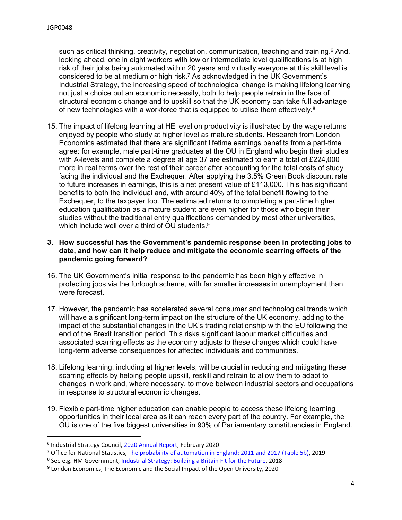such as critical thinking, creativity, negotiation, communication, teaching and training.<sup>6</sup> And, looking ahead, one in eight workers with low or intermediate level qualifications is at high risk of their jobs being automated within 20 years and virtually everyone at this skill level is considered to be at medium or high risk.<sup>7</sup> As acknowledged in the UK Government's Industrial Strategy, the increasing speed of technological change is making lifelong learning not just a choice but an economic necessity, both to help people retrain in the face of structural economic change and to upskill so that the UK economy can take full advantage of new technologies with a workforce that is equipped to utilise them effectively. $8$ 

15. The impact of lifelong learning at HE level on productivity is illustrated by the wage returns enjoyed by people who study at higher level as mature students. Research from London Economics estimated that there are significant lifetime earnings benefits from a part-time agree: for example, male part-time graduates at the OU in England who begin their studies with A-levels and complete a degree at age 37 are estimated to earn a total of £224,000 more in real terms over the rest of their career after accounting for the total costs of study facing the individual and the Exchequer. After applying the 3.5% Green Book discount rate to future increases in earnings, this is a net present value of £113,000. This has significant benefits to both the individual and, with around 40% of the total benefit flowing to the Exchequer, to the taxpayer too. The estimated returns to completing a part-time higher education qualification as a mature student are even higher for those who begin their studies without the traditional entry qualifications demanded by most other universities, which include well over a third of OU students.<sup>9</sup>

#### **3. How successful has the Government's pandemic response been in protecting jobs to date, and how can it help reduce and mitigate the economic scarring effects of the pandemic going forward?**

- 16. The UK Government's initial response to the pandemic has been highly effective in protecting jobs via the furlough scheme, with far smaller increases in unemployment than were forecast.
- 17. However, the pandemic has accelerated several consumer and technological trends which will have a significant long-term impact on the structure of the UK economy, adding to the impact of the substantial changes in the UK's trading relationship with the EU following the end of the Brexit transition period. This risks significant labour market difficulties and associated scarring effects as the economy adjusts to these changes which could have long-term adverse consequences for affected individuals and communities.
- 18. Lifelong learning, including at higher levels, will be crucial in reducing and mitigating these scarring effects by helping people upskill, reskill and retrain to allow them to adapt to changes in work and, where necessary, to move between industrial sectors and occupations in response to structural economic changes.
- 19. Flexible part-time higher education can enable people to access these lifelong learning opportunities in their local area as it can reach every part of the country. For example, the OU is one of the five biggest universities in 90% of Parliamentary constituencies in England.

<sup>&</sup>lt;sup>6</sup> Industrial Strategy Council, [2020](https://industrialstrategycouncil.org/industrial-strategy-council-annual-report-2020) [Annual](https://industrialstrategycouncil.org/industrial-strategy-council-annual-report-2020) [Report](https://industrialstrategycouncil.org/industrial-strategy-council-annual-report-2020), February 2020

<sup>7</sup> Office for National Statistics, [The](https://www.ons.gov.uk/employmentandlabourmarket/peopleinwork/employmentandemployeetypes/articles/theprobabilityofautomationinengland/2011and2017) [probability](https://www.ons.gov.uk/employmentandlabourmarket/peopleinwork/employmentandemployeetypes/articles/theprobabilityofautomationinengland/2011and2017) [of](https://www.ons.gov.uk/employmentandlabourmarket/peopleinwork/employmentandemployeetypes/articles/theprobabilityofautomationinengland/2011and2017) [automation](https://www.ons.gov.uk/employmentandlabourmarket/peopleinwork/employmentandemployeetypes/articles/theprobabilityofautomationinengland/2011and2017) [in](https://www.ons.gov.uk/employmentandlabourmarket/peopleinwork/employmentandemployeetypes/articles/theprobabilityofautomationinengland/2011and2017) [England:](https://www.ons.gov.uk/employmentandlabourmarket/peopleinwork/employmentandemployeetypes/articles/theprobabilityofautomationinengland/2011and2017) [2011](https://www.ons.gov.uk/employmentandlabourmarket/peopleinwork/employmentandemployeetypes/articles/theprobabilityofautomationinengland/2011and2017) [and](https://www.ons.gov.uk/employmentandlabourmarket/peopleinwork/employmentandemployeetypes/articles/theprobabilityofautomationinengland/2011and2017) [2017](https://www.ons.gov.uk/employmentandlabourmarket/peopleinwork/employmentandemployeetypes/articles/theprobabilityofautomationinengland/2011and2017) [\(Table](https://www.ons.gov.uk/employmentandlabourmarket/peopleinwork/employmentandemployeetypes/articles/theprobabilityofautomationinengland/2011and2017) [5b\),](https://www.ons.gov.uk/employmentandlabourmarket/peopleinwork/employmentandemployeetypes/articles/theprobabilityofautomationinengland/2011and2017) 2019

<sup>8</sup> See e.g. HM Government, [Industrial](https://assets.publishing.service.gov.uk/government/uploads/system/uploads/attachment_data/file/664563/industrial-strategy-white-paper-web-ready-version.pdf) [Strategy:](https://assets.publishing.service.gov.uk/government/uploads/system/uploads/attachment_data/file/664563/industrial-strategy-white-paper-web-ready-version.pdf) [Building](https://assets.publishing.service.gov.uk/government/uploads/system/uploads/attachment_data/file/664563/industrial-strategy-white-paper-web-ready-version.pdf) [a](https://assets.publishing.service.gov.uk/government/uploads/system/uploads/attachment_data/file/664563/industrial-strategy-white-paper-web-ready-version.pdf) [Britain](https://assets.publishing.service.gov.uk/government/uploads/system/uploads/attachment_data/file/664563/industrial-strategy-white-paper-web-ready-version.pdf) [Fit](https://assets.publishing.service.gov.uk/government/uploads/system/uploads/attachment_data/file/664563/industrial-strategy-white-paper-web-ready-version.pdf) [for](https://assets.publishing.service.gov.uk/government/uploads/system/uploads/attachment_data/file/664563/industrial-strategy-white-paper-web-ready-version.pdf) [the](https://assets.publishing.service.gov.uk/government/uploads/system/uploads/attachment_data/file/664563/industrial-strategy-white-paper-web-ready-version.pdf) [Future,](https://assets.publishing.service.gov.uk/government/uploads/system/uploads/attachment_data/file/664563/industrial-strategy-white-paper-web-ready-version.pdf) 2018

<sup>9</sup> London Economics, The Economic and the Social Impact of the Open University, 2020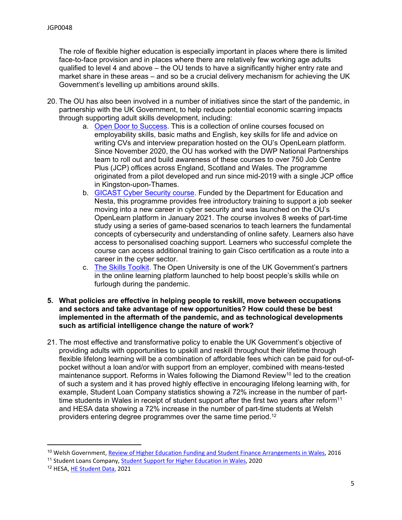The role of flexible higher education is especially important in places where there is limited face-to-face provision and in places where there are relatively few working age adults qualified to level 4 and above – the OU tends to have a significantly higher entry rate and market share in these areas – and so be a crucial delivery mechanism for achieving the UK Government's levelling up ambitions around skills.

- 20. The OU has also been involved in a number of initiatives since the start of the pandemic, in partnership with the UK Government, to help reduce potential economic scarring impacts through supporting adult skills development, including:
	- a. [Open](https://www.open.edu/openlearn/education-development/employability-hub/open-door-success) [Door](https://www.open.edu/openlearn/education-development/employability-hub/open-door-success) [to](https://www.open.edu/openlearn/education-development/employability-hub/open-door-success) [Success.](https://www.open.edu/openlearn/education-development/employability-hub/open-door-success) This is a collection of online courses focused on employability skills, basic maths and English, key skills for life and advice on writing CVs and interview preparation hosted on the OU's OpenLearn platform. Since November 2020, the OU has worked with the DWP National Partnerships team to roll out and build awareness of these courses to over 750 Job Centre Plus (JCP) offices across England, Scotland and Wales. The programme originated from a pilot developed and run since mid-2019 with a single JCP office in Kingston-upon-Thames.
	- b. [GICAST](https://www.open.ac.uk/stem/computing-and-communications/study/gicast#:~:text=The%20%27Gamified%20Intelligent%20Cyber%20Aptitude%20and%20Skills%20Training%27,available%20on%20the%20OpenLearn%20platform%20starting%20January%202021.) [Cyber](https://www.open.ac.uk/stem/computing-and-communications/study/gicast#:~:text=The%20%27Gamified%20Intelligent%20Cyber%20Aptitude%20and%20Skills%20Training%27,available%20on%20the%20OpenLearn%20platform%20starting%20January%202021.) [Security](https://www.open.ac.uk/stem/computing-and-communications/study/gicast#:~:text=The%20%27Gamified%20Intelligent%20Cyber%20Aptitude%20and%20Skills%20Training%27,available%20on%20the%20OpenLearn%20platform%20starting%20January%202021.) [course](https://www.open.ac.uk/stem/computing-and-communications/study/gicast#:~:text=The%20%27Gamified%20Intelligent%20Cyber%20Aptitude%20and%20Skills%20Training%27,available%20on%20the%20OpenLearn%20platform%20starting%20January%202021.). Funded by the Department for Education and Nesta, this programme provides free introductory training to support a job seeker moving into a new career in cyber security and was launched on the OU's OpenLearn platform in January 2021. The course involves 8 weeks of part-time study using a series of game-based scenarios to teach learners the fundamental concepts of cybersecurity and understanding of online safety. Learners also have access to personalised coaching support. Learners who successful complete the course can access additional training to gain Cisco certification as a route into a career in the cyber sector.
	- c. [The](https://www.gov.uk/government/news/new-free-online-learning-platform-to-boost-workplace-skills) [Skills](https://www.gov.uk/government/news/new-free-online-learning-platform-to-boost-workplace-skills) [Toolkit](https://www.gov.uk/government/news/new-free-online-learning-platform-to-boost-workplace-skills). The Open University is one of the UK Government's partners in the online learning platform launched to help boost people's skills while on furlough during the pandemic.
- **5. What policies are effective in helping people to reskill, move between occupations and sectors and take advantage of new opportunities? How could these be best implemented in the aftermath of the pandemic, and as technological developments such as artificial intelligence change the nature of work?**
- 21. The most effective and transformative policy to enable the UK Government's objective of providing adults with opportunities to upskill and reskill throughout their lifetime through flexible lifelong learning will be a combination of affordable fees which can be paid for out-ofpocket without a loan and/or with support from an employer, combined with means-tested maintenance support. Reforms in Wales following the Diamond Review<sup>10</sup> led to the creation of such a system and it has proved highly effective in encouraging lifelong learning with, for example, Student Loan Company statistics showing a 72% increase in the number of parttime students in Wales in receipt of student support after the first two years after reform<sup>11</sup> and HESA data showing a 72% increase in the number of part-time students at Welsh providers entering degree programmes over the same time period.<sup>12</sup>

<sup>10</sup> Welsh Government, [Review](https://gov.wales/review-higher-education-funding-and-student-finance-arrangements-final-report) [of](https://gov.wales/review-higher-education-funding-and-student-finance-arrangements-final-report) [Higher](https://gov.wales/review-higher-education-funding-and-student-finance-arrangements-final-report) [Education](https://gov.wales/review-higher-education-funding-and-student-finance-arrangements-final-report) [Funding](https://gov.wales/review-higher-education-funding-and-student-finance-arrangements-final-report) [and](https://gov.wales/review-higher-education-funding-and-student-finance-arrangements-final-report) [Student](https://gov.wales/review-higher-education-funding-and-student-finance-arrangements-final-report) [Finance](https://gov.wales/review-higher-education-funding-and-student-finance-arrangements-final-report) [Arrangements](https://gov.wales/review-higher-education-funding-and-student-finance-arrangements-final-report) [in](https://gov.wales/review-higher-education-funding-and-student-finance-arrangements-final-report) [Wales,](https://gov.wales/review-higher-education-funding-and-student-finance-arrangements-final-report) 2016

<sup>&</sup>lt;sup>11</sup> [Student](https://www.gov.uk/government/statistics/student-support-for-higher-education-in-wales-2020) Loans Company, Student [Support](https://www.gov.uk/government/statistics/student-support-for-higher-education-in-wales-2020) [for](https://www.gov.uk/government/statistics/student-support-for-higher-education-in-wales-2020) [Higher](https://www.gov.uk/government/statistics/student-support-for-higher-education-in-wales-2020) [Education](https://www.gov.uk/government/statistics/student-support-for-higher-education-in-wales-2020) [in](https://www.gov.uk/government/statistics/student-support-for-higher-education-in-wales-2020) [Wales](https://www.gov.uk/government/statistics/student-support-for-higher-education-in-wales-2020), 2020

<sup>12</sup> HESA, [HE](https://www.hesa.ac.uk/data-and-analysis/students/whos-in-he) [Student](https://www.hesa.ac.uk/data-and-analysis/students/whos-in-he) [Data](https://www.hesa.ac.uk/data-and-analysis/students/whos-in-he), 2021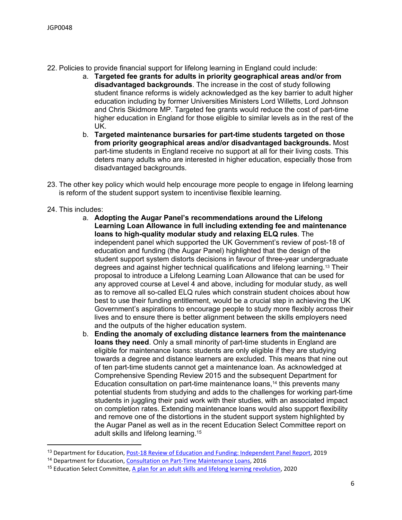- 22. Policies to provide financial support for lifelong learning in England could include:
	- a. **Targeted fee grants for adults in priority geographical areas and/or from disadvantaged backgrounds**. The increase in the cost of study following student finance reforms is widely acknowledged as the key barrier to adult higher education including by former Universities Ministers Lord Willetts, Lord Johnson and Chris Skidmore MP. Targeted fee grants would reduce the cost of part-time higher education in England for those eligible to similar levels as in the rest of the UK.
	- b. **Targeted maintenance bursaries for part-time students targeted on those from priority geographical areas and/or disadvantaged backgrounds.** Most part-time students in England receive no support at all for their living costs. This deters many adults who are interested in higher education, especially those from disadvantaged backgrounds.
- 23. The other key policy which would help encourage more people to engage in lifelong learning is reform of the student support system to incentivise flexible learning.
- 24. This includes:
	- a. **Adopting the Augar Panel's recommendations around the Lifelong Learning Loan Allowance in full including extending fee and maintenance loans to high-quality modular study and relaxing ELQ rules**. The independent panel which supported the UK Government's review of post-18 of education and funding (the Augar Panel) highlighted that the design of the student support system distorts decisions in favour of three-year undergraduate degrees and against higher technical qualifications and lifelong learning.<sup>13</sup> Their proposal to introduce a Lifelong Learning Loan Allowance that can be used for any approved course at Level 4 and above, including for modular study, as well as to remove all so-called ELQ rules which constrain student choices about how best to use their funding entitlement, would be a crucial step in achieving the UK Government's aspirations to encourage people to study more flexibly across their lives and to ensure there is better alignment between the skills employers need and the outputs of the higher education system.
	- b. **Ending the anomaly of excluding distance learners from the maintenance loans they need**. Only a small minority of part-time students in England are eligible for maintenance loans: students are only eligible if they are studying towards a degree and distance learners are excluded. This means that nine out of ten part-time students cannot get a maintenance loan. As acknowledged at Comprehensive Spending Review 2015 and the subsequent Department for Education consultation on part-time maintenance loans,<sup>14</sup> this prevents many potential students from studying and adds to the challenges for working part-time students in juggling their paid work with their studies, with an associated impact on completion rates. Extending maintenance loans would also support flexibility and remove one of the distortions in the student support system highlighted by the Augar Panel as well as in the recent Education Select Committee report on adult skills and lifelong learning.<sup>15</sup>

<sup>&</sup>lt;sup>13</sup> Department for Education, [Post-18](https://www.gov.uk/government/publications/post-18-review-of-education-and-funding-independent-panel-report) [Review](https://www.gov.uk/government/publications/post-18-review-of-education-and-funding-independent-panel-report) [of](https://www.gov.uk/government/publications/post-18-review-of-education-and-funding-independent-panel-report) [Education](https://www.gov.uk/government/publications/post-18-review-of-education-and-funding-independent-panel-report) [and](https://www.gov.uk/government/publications/post-18-review-of-education-and-funding-independent-panel-report) [Funding:](https://www.gov.uk/government/publications/post-18-review-of-education-and-funding-independent-panel-report) [Independent](https://www.gov.uk/government/publications/post-18-review-of-education-and-funding-independent-panel-report) [Panel](https://www.gov.uk/government/publications/post-18-review-of-education-and-funding-independent-panel-report) [Report](https://www.gov.uk/government/publications/post-18-review-of-education-and-funding-independent-panel-report), 2019

<sup>14</sup> Department for Education, [Consultation](https://consult.education.gov.uk/part-time-maintenance-loans/part-time-maintenance-loans/supporting_documents/Parttime%20Loans%20Consultation%20Document%20FINAL.pdf) [on](https://consult.education.gov.uk/part-time-maintenance-loans/part-time-maintenance-loans/supporting_documents/Parttime%20Loans%20Consultation%20Document%20FINAL.pdf) [Part-Time](https://consult.education.gov.uk/part-time-maintenance-loans/part-time-maintenance-loans/supporting_documents/Parttime%20Loans%20Consultation%20Document%20FINAL.pdf) [Maintenance](https://consult.education.gov.uk/part-time-maintenance-loans/part-time-maintenance-loans/supporting_documents/Parttime%20Loans%20Consultation%20Document%20FINAL.pdf) [Loans](https://consult.education.gov.uk/part-time-maintenance-loans/part-time-maintenance-loans/supporting_documents/Parttime%20Loans%20Consultation%20Document%20FINAL.pdf), 2016

<sup>&</sup>lt;sup>15</sup> Education Select Committee, [A](https://committees.parliament.uk/publications/4090/documents/40532/default/) [plan](https://committees.parliament.uk/publications/4090/documents/40532/default/) [for](https://committees.parliament.uk/publications/4090/documents/40532/default/) [an](https://committees.parliament.uk/publications/4090/documents/40532/default/) [adult](https://committees.parliament.uk/publications/4090/documents/40532/default/) [skills](https://committees.parliament.uk/publications/4090/documents/40532/default/) [and](https://committees.parliament.uk/publications/4090/documents/40532/default/) [lifelong](https://committees.parliament.uk/publications/4090/documents/40532/default/) [learning](https://committees.parliament.uk/publications/4090/documents/40532/default/) [revolution,](https://committees.parliament.uk/publications/4090/documents/40532/default/) 2020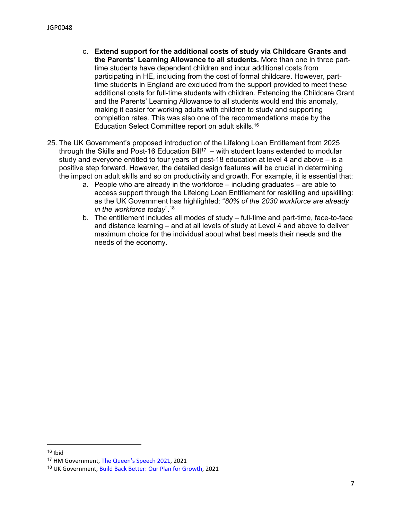- c. **Extend support for the additional costs of study via Childcare Grants and the Parents' Learning Allowance to all students.** More than one in three parttime students have dependent children and incur additional costs from participating in HE, including from the cost of formal childcare. However, parttime students in England are excluded from the support provided to meet these additional costs for full-time students with children. Extending the Childcare Grant and the Parents' Learning Allowance to all students would end this anomaly, making it easier for working adults with children to study and supporting completion rates. This was also one of the recommendations made by the Education Select Committee report on adult skills.<sup>16</sup>
- 25. The UK Government's proposed introduction of the Lifelong Loan Entitlement from 2025 through the Skills and Post-16 Education Bill<sup>17</sup> – with student loans extended to modular study and everyone entitled to four years of post-18 education at level 4 and above – is a positive step forward. However, the detailed design features will be crucial in determining the impact on adult skills and so on productivity and growth. For example, it is essential that:
	- a. People who are already in the workforce including graduates are able to access support through the Lifelong Loan Entitlement for reskilling and upskilling: as the UK Government has highlighted: "*80% of the 2030 workforce are already in the workforce today*".<sup>18</sup>
	- b. The entitlement includes all modes of study full-time and part-time, face-to-face and distance learning – and at all levels of study at Level 4 and above to deliver maximum choice for the individual about what best meets their needs and the needs of the economy.

 $16$  Ibid

<sup>17</sup> HM Government, [The](https://assets.publishing.service.gov.uk/government/uploads/system/uploads/attachment_data/file/986770/Queen_s_Speech_2021_-_Background_Briefing_Notes..pdf) [Queen's](https://assets.publishing.service.gov.uk/government/uploads/system/uploads/attachment_data/file/986770/Queen_s_Speech_2021_-_Background_Briefing_Notes..pdf) [Speech](https://assets.publishing.service.gov.uk/government/uploads/system/uploads/attachment_data/file/986770/Queen_s_Speech_2021_-_Background_Briefing_Notes..pdf) [2021,](https://assets.publishing.service.gov.uk/government/uploads/system/uploads/attachment_data/file/986770/Queen_s_Speech_2021_-_Background_Briefing_Notes..pdf) 2021

<sup>18</sup> UK Government, [Build](https://assets.publishing.service.gov.uk/government/uploads/system/uploads/attachment_data/file/968403/PfG_Final_Web_Accessible_Version.pdf) [Back](https://assets.publishing.service.gov.uk/government/uploads/system/uploads/attachment_data/file/968403/PfG_Final_Web_Accessible_Version.pdf) [Better:](https://assets.publishing.service.gov.uk/government/uploads/system/uploads/attachment_data/file/968403/PfG_Final_Web_Accessible_Version.pdf) [Our](https://assets.publishing.service.gov.uk/government/uploads/system/uploads/attachment_data/file/968403/PfG_Final_Web_Accessible_Version.pdf) [Plan](https://assets.publishing.service.gov.uk/government/uploads/system/uploads/attachment_data/file/968403/PfG_Final_Web_Accessible_Version.pdf) [for](https://assets.publishing.service.gov.uk/government/uploads/system/uploads/attachment_data/file/968403/PfG_Final_Web_Accessible_Version.pdf) [Growth](https://assets.publishing.service.gov.uk/government/uploads/system/uploads/attachment_data/file/968403/PfG_Final_Web_Accessible_Version.pdf), 2021